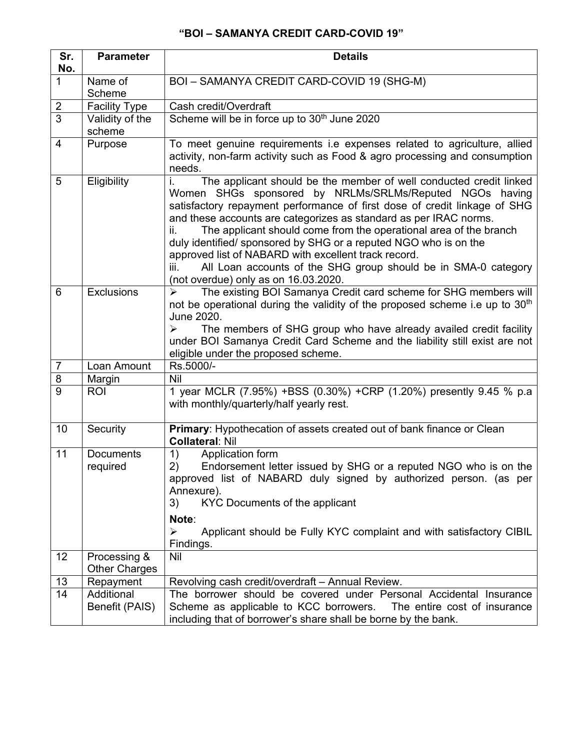## **"BOI – SAMANYA CREDIT CARD-COVID 19"**

| Sr.<br>No.     | <b>Parameter</b>                     | <b>Details</b>                                                                                                                                                                                                                                                                                                                                                                                                                                                                                                                                                                                                  |
|----------------|--------------------------------------|-----------------------------------------------------------------------------------------------------------------------------------------------------------------------------------------------------------------------------------------------------------------------------------------------------------------------------------------------------------------------------------------------------------------------------------------------------------------------------------------------------------------------------------------------------------------------------------------------------------------|
| $\mathbf{1}$   | Name of<br>Scheme                    | BOI - SAMANYA CREDIT CARD-COVID 19 (SHG-M)                                                                                                                                                                                                                                                                                                                                                                                                                                                                                                                                                                      |
| $\overline{2}$ | <b>Facility Type</b>                 | Cash credit/Overdraft                                                                                                                                                                                                                                                                                                                                                                                                                                                                                                                                                                                           |
| $\overline{3}$ | Validity of the<br>scheme            | Scheme will be in force up to 30 <sup>th</sup> June 2020                                                                                                                                                                                                                                                                                                                                                                                                                                                                                                                                                        |
| 4              | Purpose                              | To meet genuine requirements i.e expenses related to agriculture, allied<br>activity, non-farm activity such as Food & agro processing and consumption<br>needs.                                                                                                                                                                                                                                                                                                                                                                                                                                                |
| 5              | Eligibility                          | The applicant should be the member of well conducted credit linked<br>i.<br>Women SHGs sponsored by NRLMs/SRLMs/Reputed NGOs having<br>satisfactory repayment performance of first dose of credit linkage of SHG<br>and these accounts are categorizes as standard as per IRAC norms.<br>The applicant should come from the operational area of the branch<br>ii.<br>duly identified/ sponsored by SHG or a reputed NGO who is on the<br>approved list of NABARD with excellent track record.<br>All Loan accounts of the SHG group should be in SMA-0 category<br>iii.<br>(not overdue) only as on 16.03.2020. |
| 6              | <b>Exclusions</b>                    | The existing BOI Samanya Credit card scheme for SHG members will<br>↘<br>not be operational during the validity of the proposed scheme i.e up to 30 <sup>th</sup><br>June 2020.<br>The members of SHG group who have already availed credit facility<br>➤<br>under BOI Samanya Credit Card Scheme and the liability still exist are not<br>eligible under the proposed scheme.                                                                                                                                                                                                                                  |
| 7              | Loan Amount                          | Rs.5000/-                                                                                                                                                                                                                                                                                                                                                                                                                                                                                                                                                                                                       |
| 8              | Margin                               | Nil                                                                                                                                                                                                                                                                                                                                                                                                                                                                                                                                                                                                             |
| 9              | <b>ROI</b>                           | 1 year MCLR (7.95%) +BSS (0.30%) +CRP (1.20%) presently 9.45 % p.a<br>with monthly/quarterly/half yearly rest.                                                                                                                                                                                                                                                                                                                                                                                                                                                                                                  |
| 10             | Security                             | Primary: Hypothecation of assets created out of bank finance or Clean<br><b>Collateral: Nil</b>                                                                                                                                                                                                                                                                                                                                                                                                                                                                                                                 |
| 11             | <b>Documents</b><br>required         | 1)<br>Application form<br>Endorsement letter issued by SHG or a reputed NGO who is on the $ $<br>2)<br>approved list of NABARD duly signed by authorized person. (as per<br>Annexure).<br>3)<br>KYC Documents of the applicant<br>Note:<br>Applicant should be Fully KYC complaint and with satisfactory CIBIL<br>$\blacktriangleright$<br>Findings.                                                                                                                                                                                                                                                            |
| 12             | Processing &<br><b>Other Charges</b> | Nil                                                                                                                                                                                                                                                                                                                                                                                                                                                                                                                                                                                                             |
| 13             | Repayment                            | Revolving cash credit/overdraft - Annual Review.                                                                                                                                                                                                                                                                                                                                                                                                                                                                                                                                                                |
| 14             | Additional<br>Benefit (PAIS)         | The borrower should be covered under Personal Accidental Insurance<br>Scheme as applicable to KCC borrowers.  The entire cost of insurance<br>including that of borrower's share shall be borne by the bank.                                                                                                                                                                                                                                                                                                                                                                                                    |